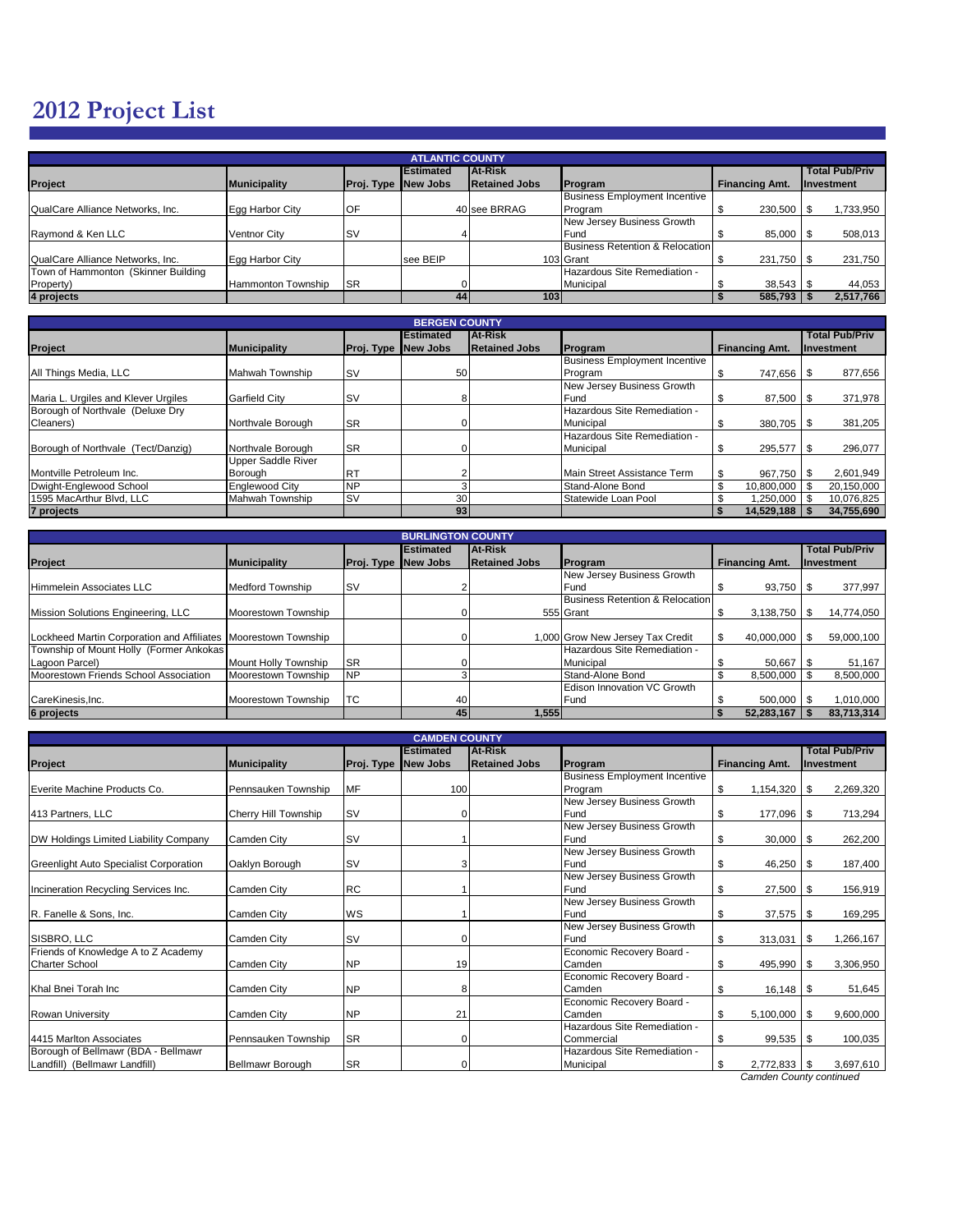## **2012 Project List**

| <b>ATLANTIC COUNTY</b>              |                           |                   |                   |                      |                                      |                       |                       |  |  |  |  |  |
|-------------------------------------|---------------------------|-------------------|-------------------|----------------------|--------------------------------------|-----------------------|-----------------------|--|--|--|--|--|
|                                     |                           |                   | <b>IEstimated</b> | At-Risk              |                                      |                       | <b>Total Pub/Priv</b> |  |  |  |  |  |
| <b>Project</b>                      | <b>Municipality</b>       | <b>Proj. Type</b> | <b>New Jobs</b>   | <b>Retained Jobs</b> | Program                              | <b>Financing Amt.</b> | Investment            |  |  |  |  |  |
|                                     |                           |                   |                   |                      | <b>Business Employment Incentive</b> |                       |                       |  |  |  |  |  |
| QualCare Alliance Networks, Inc.    | Egg Harbor City           | OF                |                   | 40 see BRRAG         | Program                              | 230,500               | 1,733,950             |  |  |  |  |  |
|                                     |                           |                   |                   |                      | New Jersey Business Growth           |                       |                       |  |  |  |  |  |
| Raymond & Ken LLC                   | Ventnor City              | <b>SV</b>         |                   |                      | Fund                                 | 85,000                | 508,013               |  |  |  |  |  |
|                                     |                           |                   |                   |                      | Business Retention & Relocation      |                       |                       |  |  |  |  |  |
| QualCare Alliance Networks, Inc.    | Egg Harbor City           |                   | see BEIP          |                      | 103 Grant                            | 231,750 \$            | 231,750               |  |  |  |  |  |
| Town of Hammonton (Skinner Building |                           |                   |                   |                      | Hazardous Site Remediation -         |                       |                       |  |  |  |  |  |
| Property)                           | <b>Hammonton Township</b> | <b>SR</b>         |                   |                      | Municipal                            | 38.543                | 44,053                |  |  |  |  |  |
| 4 projects                          |                           |                   | 44                | 103                  |                                      | 585,793               | 2,517,766             |  |  |  |  |  |

| <b>BERGEN COUNTY</b>                |                           |                   |                   |                      |                                      |                       |                       |  |  |  |  |  |
|-------------------------------------|---------------------------|-------------------|-------------------|----------------------|--------------------------------------|-----------------------|-----------------------|--|--|--|--|--|
|                                     |                           |                   | <b>IEstimated</b> | At-Risk              |                                      |                       | <b>Total Pub/Priv</b> |  |  |  |  |  |
| Project                             | <b>Municipality</b>       | <b>Proj. Type</b> | <b>New Jobs</b>   | <b>Retained Jobs</b> | Program                              | <b>Financing Amt.</b> | Investment            |  |  |  |  |  |
|                                     |                           |                   |                   |                      | <b>Business Employment Incentive</b> |                       |                       |  |  |  |  |  |
| All Things Media, LLC               | Mahwah Township           | <b>SV</b>         | 50                |                      | Program                              | 747.656 \$            | 877,656               |  |  |  |  |  |
|                                     |                           |                   |                   |                      | New Jersey Business Growth           |                       |                       |  |  |  |  |  |
| Maria L. Urgiles and Klever Urgiles | <b>Garfield City</b>      | <b>SV</b>         |                   |                      | Fund                                 | 87,500 \$<br>¥        | 371,978               |  |  |  |  |  |
| Borough of Northvale (Deluxe Dry    |                           |                   |                   |                      | Hazardous Site Remediation -         |                       |                       |  |  |  |  |  |
| Cleaners)                           | Northvale Borough         | <b>SR</b>         |                   |                      | Municipal                            | $380.705$ S           | 381,205               |  |  |  |  |  |
|                                     |                           |                   |                   |                      | Hazardous Site Remediation -         |                       |                       |  |  |  |  |  |
| Borough of Northvale (Tect/Danzig)  | Northvale Borough         | <b>SR</b>         |                   |                      | Municipal                            | 295,577               | 296,077               |  |  |  |  |  |
|                                     | <b>Upper Saddle River</b> |                   |                   |                      |                                      |                       |                       |  |  |  |  |  |
| Montville Petroleum Inc.            | Borough                   | <b>RT</b>         |                   |                      | Main Street Assistance Term          | \$<br>967.750 \$      | 2,601,949             |  |  |  |  |  |
| Dwight-Englewood School             | <b>Englewood City</b>     | <b>NP</b>         |                   |                      | Stand-Alone Bond                     | \$<br>10,800,000 \$   | 20,150,000            |  |  |  |  |  |
| 1595 MacArthur Blvd. LLC            | Mahwah Township           | <b>SV</b>         | 30                |                      | Statewide Loan Pool                  | 1,250,000             | 10,076,825            |  |  |  |  |  |
| 7 projects                          |                           |                   | 93                |                      |                                      | 14.529.188            | 34,755,690            |  |  |  |  |  |

| <b>BURLINGTON COUNTY</b>                                       |                         |                   |                   |                      |                                  |                       |                       |  |  |  |  |  |
|----------------------------------------------------------------|-------------------------|-------------------|-------------------|----------------------|----------------------------------|-----------------------|-----------------------|--|--|--|--|--|
|                                                                |                         |                   | <b>IEstimated</b> | At-Risk              |                                  |                       | <b>Total Pub/Priv</b> |  |  |  |  |  |
| Project                                                        | <b>Municipality</b>     | <b>Proj. Type</b> | New Jobs          | <b>Retained Jobs</b> | Program                          | <b>Financing Amt.</b> | Investment            |  |  |  |  |  |
|                                                                |                         |                   |                   |                      | New Jersey Business Growth       |                       |                       |  |  |  |  |  |
| Himmelein Associates LLC                                       | <b>Medford Township</b> | <b>SV</b>         |                   |                      | Fund                             | 93,750 \$             | 377,997               |  |  |  |  |  |
|                                                                |                         |                   |                   |                      | Business Retention & Relocation  |                       |                       |  |  |  |  |  |
| Mission Solutions Engineering, LLC                             | Moorestown Township     |                   |                   |                      | 555 Grant                        | $3,138,750$ \\$       | 14,774,050            |  |  |  |  |  |
|                                                                |                         |                   |                   |                      |                                  |                       |                       |  |  |  |  |  |
| Lockheed Martin Corporation and Affiliates Moorestown Township |                         |                   |                   |                      | 1,000 Grow New Jersey Tax Credit | 40,000,000            | 59,000,100            |  |  |  |  |  |
| Township of Mount Holly (Former Ankokas                        |                         |                   |                   |                      | Hazardous Site Remediation -     |                       |                       |  |  |  |  |  |
| Lagoon Parcel)                                                 | Mount Holly Township    | <b>SR</b>         |                   |                      | Municipal                        | 50.667                | 51,167                |  |  |  |  |  |
| Moorestown Friends School Association                          | Moorestown Township     | <b>NP</b>         |                   |                      | Stand-Alone Bond                 | 8.500.000             | 8,500,000             |  |  |  |  |  |
|                                                                |                         |                   |                   |                      | Edison Innovation VC Growth      |                       |                       |  |  |  |  |  |
| CareKinesis, Inc.                                              | Moorestown Township     | <b>ITC</b>        | 40                |                      | Fund                             | $500.000$ $\sqrt{\ }$ | 1,010,000             |  |  |  |  |  |
| 6 projects                                                     |                         |                   | 45                | 1,555                |                                  | $52,283,167$ \$       | 83,713,314            |  |  |  |  |  |

|                                        | <b>CAMDEN COUNTY</b> |            |                  |                      |                                      |                       |                       |  |  |  |  |  |  |
|----------------------------------------|----------------------|------------|------------------|----------------------|--------------------------------------|-----------------------|-----------------------|--|--|--|--|--|--|
|                                        |                      |            | <b>Estimated</b> | <b>At-Risk</b>       |                                      |                       | <b>Total Pub/Priv</b> |  |  |  |  |  |  |
| Project                                | <b>Municipality</b>  | Proj. Type | New Jobs         | <b>Retained Jobs</b> | Program                              | <b>Financing Amt.</b> | Investment            |  |  |  |  |  |  |
|                                        |                      |            |                  |                      | <b>Business Employment Incentive</b> |                       |                       |  |  |  |  |  |  |
| Everite Machine Products Co.           | Pennsauken Township  | <b>MF</b>  | 100              |                      | Program                              | \$<br>1,154,320       | 2,269,320<br>l \$     |  |  |  |  |  |  |
|                                        |                      |            |                  |                      | New Jersey Business Growth           |                       |                       |  |  |  |  |  |  |
| 413 Partners, LLC                      | Cherry Hill Township | <b>ISV</b> |                  |                      | Fund                                 | \$<br>177,096         | 713,294<br>l Si       |  |  |  |  |  |  |
|                                        |                      |            |                  |                      | New Jersey Business Growth           |                       |                       |  |  |  |  |  |  |
| DW Holdings Limited Liability Company  | Camden City          | <b>SV</b>  |                  |                      | Fund                                 | 30,000 \$<br>\$       | 262,200               |  |  |  |  |  |  |
|                                        |                      |            |                  |                      | New Jersey Business Growth           |                       |                       |  |  |  |  |  |  |
| Greenlight Auto Specialist Corporation | Oaklyn Borough       | <b>ISV</b> |                  |                      | Fund                                 | \$<br>46,250          | 187,400<br>l \$       |  |  |  |  |  |  |
|                                        |                      |            |                  |                      | New Jersey Business Growth           |                       |                       |  |  |  |  |  |  |
| Incineration Recycling Services Inc.   | Camden City          | <b>RC</b>  |                  |                      | Fund                                 | 27,500<br>\$          | 156,919<br>l S        |  |  |  |  |  |  |
|                                        |                      |            |                  |                      | New Jersey Business Growth           |                       |                       |  |  |  |  |  |  |
| R. Fanelle & Sons, Inc.                | Camden City          | WS         |                  |                      | Fund                                 | 37,575<br>\$          | 169,295<br>l Si       |  |  |  |  |  |  |
|                                        |                      |            |                  |                      | New Jersey Business Growth           |                       |                       |  |  |  |  |  |  |
| SISBRO, LLC                            | Camden City          | <b>SV</b>  |                  |                      | Fund                                 | \$<br>313,031         | 1,266,167<br>- \$     |  |  |  |  |  |  |
| Friends of Knowledge A to Z Academy    |                      |            |                  |                      | Economic Recovery Board -            |                       |                       |  |  |  |  |  |  |
| <b>Charter School</b>                  | Camden City          | <b>NP</b>  | 19               |                      | Camden                               | \$<br>495,990         | 3,306,950             |  |  |  |  |  |  |
|                                        |                      |            |                  |                      | Economic Recovery Board -            |                       |                       |  |  |  |  |  |  |
| Khal Bnei Torah Inc                    | Camden City          | <b>NP</b>  | 8                |                      | Camden                               | \$<br>$16,148$ \$     | 51,645                |  |  |  |  |  |  |
|                                        |                      |            |                  |                      | Economic Recovery Board -            |                       |                       |  |  |  |  |  |  |
| <b>Rowan University</b>                | Camden City          | <b>NP</b>  | 21               |                      | Camden                               | \$<br>5,100,000       | 9,600,000<br>- \$     |  |  |  |  |  |  |
|                                        |                      |            |                  |                      | Hazardous Site Remediation -         |                       |                       |  |  |  |  |  |  |
| 4415 Marlton Associates                | Pennsauken Township  | <b>SR</b>  |                  |                      | Commercial                           | 99,535 \$<br>\$       | 100,035               |  |  |  |  |  |  |
| Borough of Bellmawr (BDA - Bellmawr    |                      |            |                  |                      | Hazardous Site Remediation -         |                       |                       |  |  |  |  |  |  |
| Landfill) (Bellmawr Landfill)          | Bellmawr Borough     | <b>SR</b>  |                  |                      | Municipal                            | $2,772,833$ \$<br>\$  | 3,697,610             |  |  |  |  |  |  |

 *Camden County continued*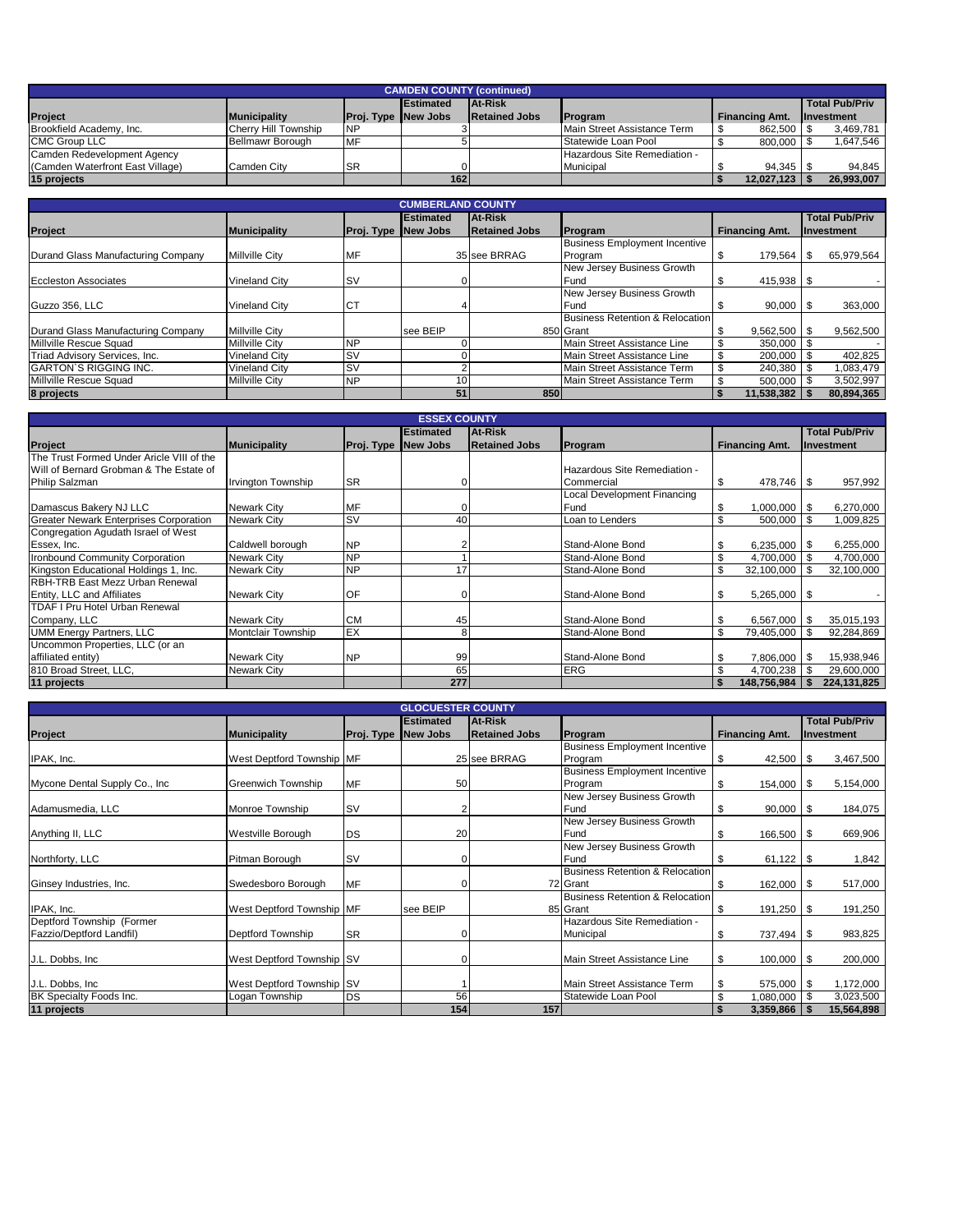| <b>CAMDEN COUNTY (continued)</b> |                      |                            |                   |                      |                              |                       |                       |  |  |  |
|----------------------------------|----------------------|----------------------------|-------------------|----------------------|------------------------------|-----------------------|-----------------------|--|--|--|
|                                  |                      |                            | <b>IEstimated</b> | <b>At-Risk</b>       |                              |                       | <b>Total Pub/Priv</b> |  |  |  |
| <b>Project</b>                   | <b>Municipality</b>  | <b>Proj. Type New Jobs</b> |                   | <b>Retained Jobs</b> | <b>IProgram</b>              | <b>Financing Amt.</b> | <b>Investment</b>     |  |  |  |
| Brookfield Academy, Inc.         | Cherry Hill Township | <b>NP</b>                  |                   |                      | Main Street Assistance Term  | 862,500 \$            | 3,469,781             |  |  |  |
| <b>CMC Group LLC</b>             | Bellmawr Borough     | <b>MF</b>                  |                   |                      | Statewide Loan Pool          | 800.000               | 1.647.546             |  |  |  |
| Camden Redevelopment Agency      |                      |                            |                   |                      | Hazardous Site Remediation - |                       |                       |  |  |  |
| (Camden Waterfront East Village) | Camden City          | <b>ISR</b>                 |                   |                      | Municipal                    | 94.345                | 94.845                |  |  |  |
| 15 projects                      |                      |                            | 162               |                      |                              | 12,027,123            | 26,993,007            |  |  |  |

| <b>CUMBERLAND COUNTY</b>           |                       |            |                   |                      |                                      |                       |                       |  |  |  |  |  |
|------------------------------------|-----------------------|------------|-------------------|----------------------|--------------------------------------|-----------------------|-----------------------|--|--|--|--|--|
|                                    |                       |            | <b>IEstimated</b> | At-Risk              |                                      |                       | <b>Total Pub/Priv</b> |  |  |  |  |  |
| Project                            | <b>Municipality</b>   | Proj. Type | New Jobs          | <b>Retained Jobs</b> | Program                              | <b>Financing Amt.</b> | <b>Investment</b>     |  |  |  |  |  |
|                                    |                       |            |                   |                      | <b>Business Employment Incentive</b> |                       |                       |  |  |  |  |  |
| Durand Glass Manufacturing Company | <b>Millville City</b> | MF         |                   | 35 see BRRAG         | Program                              | 179,564<br>Œ          | 65,979,564            |  |  |  |  |  |
|                                    |                       |            |                   |                      | New Jersey Business Growth           |                       |                       |  |  |  |  |  |
| <b>Eccleston Associates</b>        | <b>Vineland City</b>  | <b>SV</b>  |                   |                      | Fund                                 | 415,938 \$<br>\$.     |                       |  |  |  |  |  |
|                                    |                       |            |                   |                      | New Jersey Business Growth           |                       |                       |  |  |  |  |  |
| Guzzo 356, LLC                     | <b>Vineland City</b>  | СT         |                   |                      | Fund                                 | $90.000$ \$           | 363,000               |  |  |  |  |  |
|                                    |                       |            |                   |                      | Business Retention & Relocation      |                       |                       |  |  |  |  |  |
| Durand Glass Manufacturing Company | <b>Millville City</b> |            | see BEIP          |                      | 850 Grant                            | $9,562,500$ \ \$      | 9,562,500             |  |  |  |  |  |
| Millville Rescue Squad             | <b>Millville City</b> | <b>NP</b>  |                   |                      | Main Street Assistance Line          | \$<br>$350,000$ \ \$  |                       |  |  |  |  |  |
| Triad Advisory Services, Inc.      | <b>Vineland City</b>  | <b>SV</b>  |                   |                      | Main Street Assistance Line          | S.<br>200,000         | 402,825               |  |  |  |  |  |
| <b>GARTON'S RIGGING INC.</b>       | <b>Vineland City</b>  | <b>SV</b>  |                   |                      | Main Street Assistance Term          | \$<br>240.380         | 1,083,479             |  |  |  |  |  |
| Millville Rescue Squad             | <b>Millville City</b> | <b>NP</b>  | 10.               |                      | Main Street Assistance Term          | 500,000               | 3,502,997             |  |  |  |  |  |
| 8 projects                         |                       |            | 51                | 850                  |                                      | $11,538,382$ \ \$     | 80,894,365            |  |  |  |  |  |

| <b>ESSEX COUNTY</b>                           |                           |            |           |                      |                              |                        |                       |  |  |  |  |
|-----------------------------------------------|---------------------------|------------|-----------|----------------------|------------------------------|------------------------|-----------------------|--|--|--|--|
|                                               |                           |            | Estimated | At-Risk              |                              |                        | <b>Total Pub/Priv</b> |  |  |  |  |
| <b>Project</b>                                | <b>Municipality</b>       | Proj. Type | New Jobs  | <b>Retained Jobs</b> | Program                      | <b>Financing Amt.</b>  | Investment            |  |  |  |  |
| The Trust Formed Under Aricle VIII of the     |                           |            |           |                      |                              |                        |                       |  |  |  |  |
| Will of Bernard Grobman & The Estate of       |                           |            |           |                      | Hazardous Site Remediation - |                        |                       |  |  |  |  |
| <b>Philip Salzman</b>                         | <b>Irvington Township</b> | <b>SR</b>  |           |                      | Commercial                   | \$<br>478,746 \$       | 957,992               |  |  |  |  |
|                                               |                           |            |           |                      | Local Development Financing  |                        |                       |  |  |  |  |
| Damascus Bakery NJ LLC                        | <b>Newark City</b>        | <b>MF</b>  |           |                      | Fund                         | \$<br>$1,000,000$ \ \$ | 6,270,000             |  |  |  |  |
| <b>Greater Newark Enterprises Corporation</b> | <b>Newark City</b>        | <b>SV</b>  | 40        |                      | Loan to Lenders              | \$<br>500,000          | 1,009,825             |  |  |  |  |
| Congregation Agudath Israel of West           |                           |            |           |                      |                              |                        |                       |  |  |  |  |
| Essex, Inc.                                   | Caldwell borough          | <b>NP</b>  |           |                      | Stand-Alone Bond             | \$<br>6,235,000        | 6,255,000             |  |  |  |  |
| Ironbound Community Corporation               | <b>Newark City</b>        | <b>NP</b>  |           |                      | Stand-Alone Bond             | \$<br>4,700,000        | 4,700,000             |  |  |  |  |
| Kingston Educational Holdings 1, Inc.         | <b>Newark City</b>        | <b>NP</b>  | 17        |                      | Stand-Alone Bond             | \$<br>32,100,000       | 32,100,000            |  |  |  |  |
| RBH-TRB East Mezz Urban Renewal               |                           |            |           |                      |                              |                        |                       |  |  |  |  |
| Entity, LLC and Affiliates                    | <b>Newark City</b>        | <b>IOF</b> |           |                      | Stand-Alone Bond             | \$                     |                       |  |  |  |  |
| <b>TDAF I Pru Hotel Urban Renewal</b>         |                           |            |           |                      |                              |                        |                       |  |  |  |  |
| Company, LLC                                  | <b>Newark City</b>        | <b>CM</b>  | 45        |                      | Stand-Alone Bond             | \$<br>$6,567,000$ \ \$ | 35,015,193            |  |  |  |  |
| <b>UMM Energy Partners, LLC</b>               | Montclair Township        | EX         | 8         |                      | Stand-Alone Bond             | \$<br>79,405,000       | 92,284,869            |  |  |  |  |
| Uncommon Properties, LLC (or an               |                           |            |           |                      |                              |                        |                       |  |  |  |  |
| affiliated entity)                            | <b>Newark City</b>        | <b>NP</b>  | 99        |                      | Stand-Alone Bond             | \$<br>7,806,000        | 15,938,946            |  |  |  |  |
| 810 Broad Street, LLC,                        | <b>Newark City</b>        |            | 65        |                      | <b>ERG</b>                   | \$<br>4,700,238        | 29,600,000            |  |  |  |  |
| 11 projects                                   |                           |            | 277       |                      |                              | 148,756,984            | 224, 131, 825         |  |  |  |  |

| <b>GLOCUESTER COUNTY</b>       |                            |            |                  |                      |                                            |                       |                       |  |  |  |  |  |
|--------------------------------|----------------------------|------------|------------------|----------------------|--------------------------------------------|-----------------------|-----------------------|--|--|--|--|--|
|                                |                            |            | <b>Estimated</b> | At-Risk              |                                            |                       | <b>Total Pub/Priv</b> |  |  |  |  |  |
| Project                        | <b>Municipality</b>        | Proj. Type | <b>New Jobs</b>  | <b>Retained Jobs</b> | Program                                    | <b>Financing Amt.</b> | Investment            |  |  |  |  |  |
|                                |                            |            |                  |                      | <b>Business Employment Incentive</b>       |                       |                       |  |  |  |  |  |
| IPAK, Inc.                     | West Deptford Township IMF |            |                  | 25 see BRRAG         | Program                                    | \$<br>42,500          | 3,467,500<br>l S      |  |  |  |  |  |
|                                |                            |            |                  |                      | <b>Business Employment Incentive</b>       |                       |                       |  |  |  |  |  |
| Mycone Dental Supply Co., Inc. | <b>Greenwich Township</b>  | <b>MF</b>  | 50               |                      | Program                                    | \$<br>154,000         | 5,154,000<br>l SS     |  |  |  |  |  |
|                                |                            |            |                  |                      | New Jersey Business Growth                 |                       |                       |  |  |  |  |  |
| Adamusmedia, LLC               | Monroe Township            | <b>SV</b>  |                  |                      | Fund                                       | \$<br>$90,000$ \$     | 184,075               |  |  |  |  |  |
|                                |                            |            |                  |                      | New Jersey Business Growth                 |                       |                       |  |  |  |  |  |
| Anything II, LLC               | Westville Borough          | <b>DS</b>  | 20               |                      | Fund                                       | \$<br>$166,500$ \ \$  | 669,906               |  |  |  |  |  |
|                                |                            |            |                  |                      | New Jersey Business Growth                 |                       |                       |  |  |  |  |  |
| Northforty, LLC                | Pitman Borough             | <b>SV</b>  |                  |                      | Fund                                       | \$<br>$61,122$ \$     | 1,842                 |  |  |  |  |  |
|                                |                            |            |                  |                      | <b>Business Retention &amp; Relocation</b> |                       |                       |  |  |  |  |  |
| Ginsey Industries, Inc.        | Swedesboro Borough         | <b>MF</b>  |                  |                      | 72 Grant                                   | \$<br>$162,000$ \ \$  | 517,000               |  |  |  |  |  |
|                                |                            |            |                  |                      | <b>Business Retention &amp; Relocation</b> |                       |                       |  |  |  |  |  |
| IPAK, Inc.                     | West Deptford Township MF  |            | see BEIP         |                      | 85 Grant                                   | \$<br>191,250 \$      | 191,250               |  |  |  |  |  |
| Deptford Township (Former      |                            |            |                  |                      | Hazardous Site Remediation -               |                       |                       |  |  |  |  |  |
| Fazzio/Deptford Landfil)       | Deptford Township          | <b>SR</b>  |                  |                      | Municipal                                  | \$<br>737,494         | 983,825<br>- \$       |  |  |  |  |  |
|                                |                            |            |                  |                      |                                            |                       |                       |  |  |  |  |  |
| J.L. Dobbs, Inc.               | West Deptford Township SV  |            |                  |                      | Main Street Assistance Line                | \$<br>$100,000$   \$  | 200,000               |  |  |  |  |  |
|                                |                            |            |                  |                      |                                            |                       |                       |  |  |  |  |  |
| J.L. Dobbs, Inc.               | West Deptford Township ISV |            |                  |                      | Main Street Assistance Term                | \$<br>$575,000$   \$  | 1,172,000             |  |  |  |  |  |
| BK Specialty Foods Inc.        | Logan Township             | <b>DS</b>  | 56               |                      | Statewide Loan Pool                        | \$<br>1,080,000       | 3,023,500             |  |  |  |  |  |
| 11 projects                    |                            |            | 154              | 157                  |                                            | 3,359,866             | 15,564,898            |  |  |  |  |  |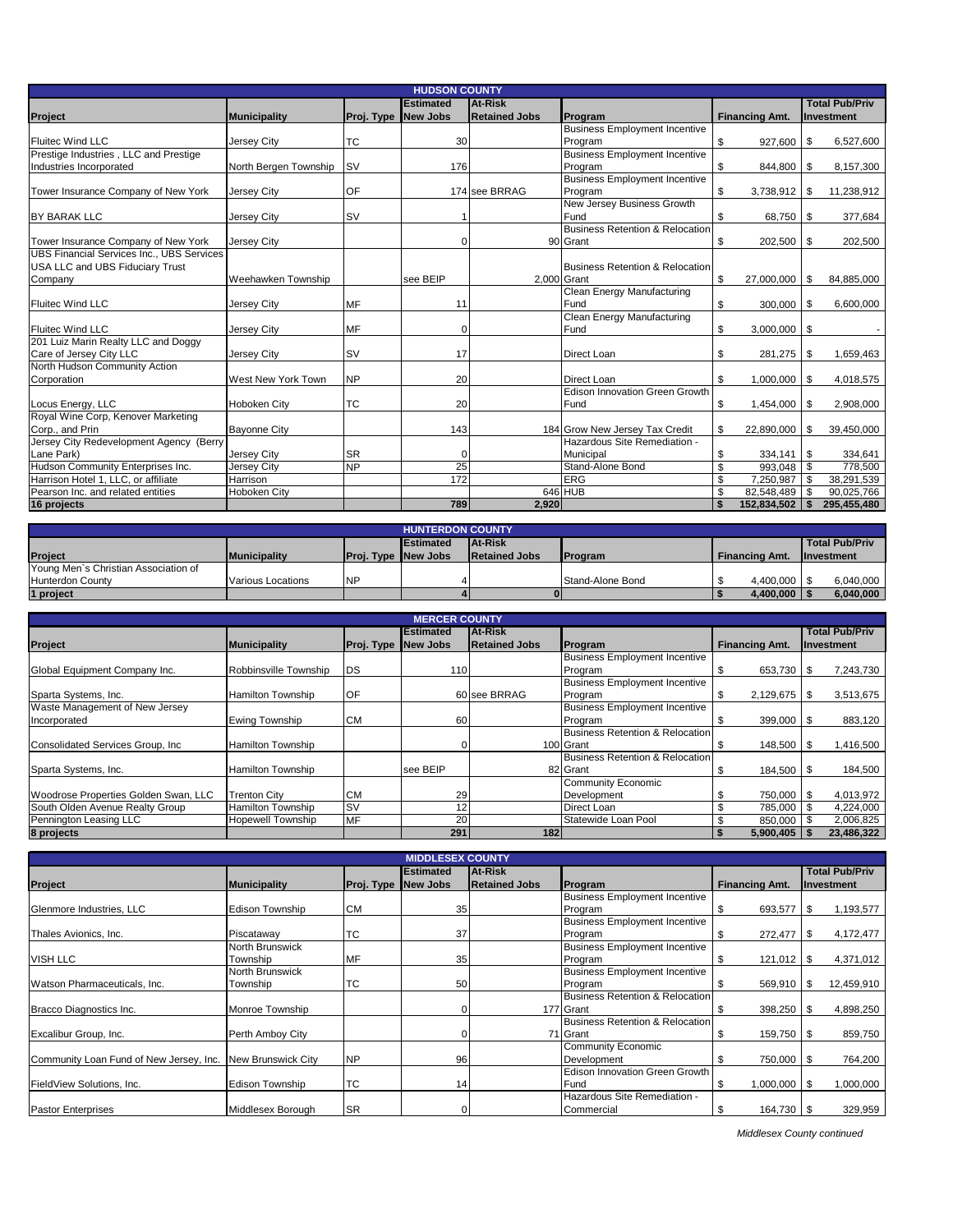|                                                  | <b>HUDSON COUNTY</b>  |            |                  |                      |                                      |    |                       |      |                       |  |  |  |
|--------------------------------------------------|-----------------------|------------|------------------|----------------------|--------------------------------------|----|-----------------------|------|-----------------------|--|--|--|
|                                                  |                       |            | <b>Estimated</b> | <b>At-Risk</b>       |                                      |    |                       |      | <b>Total Pub/Priv</b> |  |  |  |
| <b>Project</b>                                   | <b>Municipality</b>   | Proj. Type | <b>New Jobs</b>  | <b>Retained Jobs</b> | Program                              |    | <b>Financing Amt.</b> |      | Investment            |  |  |  |
|                                                  |                       |            |                  |                      | <b>Business Employment Incentive</b> |    |                       |      |                       |  |  |  |
| <b>Fluitec Wind LLC</b>                          | Jersey City           | <b>TC</b>  | 30               |                      | Program                              | \$ | 927,600               | l \$ | 6,527,600             |  |  |  |
| Prestige Industries, LLC and Prestige            |                       |            |                  |                      | <b>Business Employment Incentive</b> |    |                       |      |                       |  |  |  |
| Industries Incorporated                          | North Bergen Township | <b>SV</b>  | 176              |                      | Program                              | \$ | 844,800 \$            |      | 8,157,300             |  |  |  |
|                                                  |                       |            |                  |                      | <b>Business Employment Incentive</b> |    |                       |      |                       |  |  |  |
| Tower Insurance Company of New York              | <b>Jersey City</b>    | OF         |                  | 174 see BRRAG        | Program                              | \$ |                       |      | 11,238,912            |  |  |  |
|                                                  |                       |            |                  |                      | New Jersey Business Growth           |    |                       |      |                       |  |  |  |
| <b>BY BARAK LLC</b>                              | Jersey City           | <b>SV</b>  |                  |                      | Fund                                 | \$ | 68,750 \$             |      | 377,684               |  |  |  |
|                                                  |                       |            |                  |                      | Business Retention & Relocation      |    |                       |      |                       |  |  |  |
| Tower Insurance Company of New York              | Jersey City           |            | O                |                      | 90 Grant                             | \$ | 202,500 \$            |      | 202,500               |  |  |  |
| <b>UBS Financial Services Inc., UBS Services</b> |                       |            |                  |                      |                                      |    |                       |      |                       |  |  |  |
| USA LLC and UBS Fiduciary Trust                  |                       |            |                  |                      | Business Retention & Relocation      |    |                       |      |                       |  |  |  |
| Company                                          | Weehawken Township    |            | see BEIP         | 2,000 Grant          |                                      | \$ | 27,000,000            | l \$ | 84,885,000            |  |  |  |
|                                                  |                       |            |                  |                      | Clean Energy Manufacturing           |    |                       |      |                       |  |  |  |
| <b>Fluitec Wind LLC</b>                          | Jersey City           | MF         | 11               |                      | Fund                                 | \$ | 300,000 \$            |      | 6,600,000             |  |  |  |
|                                                  |                       |            |                  |                      | Clean Energy Manufacturing           |    |                       |      |                       |  |  |  |
| <b>Fluitec Wind LLC</b>                          | Jersey City           | MF         | $\Omega$         |                      | Fund                                 | \$ | $3,000,000$ \ \$      |      |                       |  |  |  |
| 201 Luiz Marin Realty LLC and Doggy              |                       |            |                  |                      |                                      |    |                       |      |                       |  |  |  |
| Care of Jersey City LLC                          | Jersey City           | <b>SV</b>  | 17               |                      | Direct Loan                          | \$ | 281,275 \$            |      | 1,659,463             |  |  |  |
| North Hudson Community Action                    |                       |            |                  |                      |                                      |    |                       |      |                       |  |  |  |
| Corporation                                      | West New York Town    | <b>NP</b>  | 20               |                      | <b>Direct Loan</b>                   | \$ | $1,000,000$ \$        |      | 4,018,575             |  |  |  |
|                                                  |                       |            |                  |                      | Edison Innovation Green Growth       |    |                       |      |                       |  |  |  |
| Locus Energy, LLC                                | Hoboken City          | <b>TC</b>  | 20               |                      | Fund                                 | \$ | 1,454,000             | - \$ | 2,908,000             |  |  |  |
| Royal Wine Corp, Kenover Marketing               |                       |            |                  |                      |                                      |    |                       |      |                       |  |  |  |
| Corp., and Prin                                  | <b>Bayonne City</b>   |            | 143              |                      | 184 Grow New Jersey Tax Credit       | \$ | 22,890,000            | \$   | 39,450,000            |  |  |  |
| Jersey City Redevelopment Agency (Berry          |                       |            |                  |                      | Hazardous Site Remediation -         |    |                       |      |                       |  |  |  |
| Lane Park)                                       | Jersey City           | <b>SR</b>  | $\Omega$         |                      | Municipal                            | \$ | $334,141$ \$          |      | 334,641               |  |  |  |
| Hudson Community Enterprises Inc.                | Jersey City           | <b>NP</b>  | 25               |                      | Stand-Alone Bond                     | \$ | 993.048               | \$   | 778,500               |  |  |  |
| Harrison Hotel 1, LLC, or affiliate              | Harrison              |            | 172              |                      | <b>ERG</b>                           | \$ | 7,250,987             | \$   | 38,291,539            |  |  |  |
| Pearson Inc. and related entities                | <b>Hoboken City</b>   |            |                  |                      | 646 HUB                              | \$ | 82.548.489            |      | 90,025,766            |  |  |  |
| 16 projects                                      |                       |            | 789              | 2,920                |                                      | Ŝ. | 152,834,502           |      | 295,455,480           |  |  |  |

| <b>HUNTERDON COUNTY</b>                               |                          |                            |  |                      |                  |                       |                   |  |  |  |  |
|-------------------------------------------------------|--------------------------|----------------------------|--|----------------------|------------------|-----------------------|-------------------|--|--|--|--|
| Total Pub/Priv<br><b>At-Risk</b><br><b>IEstimated</b> |                          |                            |  |                      |                  |                       |                   |  |  |  |  |
| Project                                               | <b>Municipality</b>      | <b>Proj. Type New Jobs</b> |  | <b>Retained Jobs</b> | <b>IProgram</b>  | <b>Financing Amt.</b> | <b>Investment</b> |  |  |  |  |
| Young Men's Christian Association of                  |                          |                            |  |                      |                  |                       |                   |  |  |  |  |
| <b>Hunterdon County</b>                               | <b>Various Locations</b> | <b>NP</b>                  |  |                      | Stand-Alone Bond | 4.400.000             | 6.040.000         |  |  |  |  |
| 1 project                                             |                          |                            |  |                      |                  | 4.400.000             | 6,040,000         |  |  |  |  |

| <b>MERCER COUNTY</b>                 |                          |                   |                  |                      |                                      |                       |                       |  |  |  |  |  |
|--------------------------------------|--------------------------|-------------------|------------------|----------------------|--------------------------------------|-----------------------|-----------------------|--|--|--|--|--|
|                                      |                          |                   | <b>Estimated</b> | <b>At-Risk</b>       |                                      |                       | <b>Total Pub/Priv</b> |  |  |  |  |  |
| Project                              | Municipality             | <b>Proj. Type</b> | <b>New Jobs</b>  | <b>Retained Jobs</b> | Program                              | <b>Financing Amt.</b> | <b>Investment</b>     |  |  |  |  |  |
|                                      |                          |                   |                  |                      | <b>Business Employment Incentive</b> |                       |                       |  |  |  |  |  |
| Global Equipment Company Inc.        | Robbinsville Township    | DS                | 110              |                      | Program                              | 653,730               | 7,243,730<br>\$.      |  |  |  |  |  |
|                                      |                          |                   |                  |                      | <b>Business Employment Incentive</b> |                       |                       |  |  |  |  |  |
| Sparta Systems, Inc.                 | <b>Hamilton Township</b> | OF                |                  | 60 see BRRAG         | Program                              | \$<br>2,129,675       | 3,513,675<br>S        |  |  |  |  |  |
| Waste Management of New Jersey       |                          |                   |                  |                      | <b>Business Employment Incentive</b> |                       |                       |  |  |  |  |  |
| Incorporated                         | <b>Ewing Township</b>    | <b>CM</b>         | 60               |                      | Program                              | 399,000 \$<br>S       | 883,120               |  |  |  |  |  |
|                                      |                          |                   |                  |                      | Business Retention & Relocation      |                       |                       |  |  |  |  |  |
| Consolidated Services Group, Inc.    | <b>Hamilton Township</b> |                   |                  |                      | 100 Grant                            | 148,500<br>S          | .416,500<br>S         |  |  |  |  |  |
|                                      |                          |                   |                  |                      | Business Retention & Relocation      |                       |                       |  |  |  |  |  |
| Sparta Systems, Inc.                 | <b>Hamilton Township</b> |                   | see BEIP         |                      | 82 Grant                             | 184,500<br>\$         | 184,500<br>S          |  |  |  |  |  |
|                                      |                          |                   |                  |                      | <b>Community Economic</b>            |                       |                       |  |  |  |  |  |
| Woodrose Properties Golden Swan, LLC | <b>Trenton City</b>      | <b>CM</b>         | 29               |                      | Development                          | 750,000<br>S          | 4,013,972<br>\$.      |  |  |  |  |  |
| South Olden Avenue Realty Group      | <b>Hamilton Township</b> | <b>SV</b>         | 12               |                      | Direct Loan                          | \$<br>785.000         | 4.224.000             |  |  |  |  |  |
| Pennington Leasing LLC               | <b>Hopewell Township</b> | MF                | 20               |                      | Statewide Loan Pool                  | \$<br>850,000         | 2,006,825             |  |  |  |  |  |
| 8 projects                           |                          |                   | 291              | 182                  |                                      | 5,900,405             | 23,486,322            |  |  |  |  |  |

| <b>MIDDLESEX COUNTY</b>                 |                        |            |                  |                      |                                            |                        |                       |  |  |  |  |  |
|-----------------------------------------|------------------------|------------|------------------|----------------------|--------------------------------------------|------------------------|-----------------------|--|--|--|--|--|
|                                         |                        |            | <b>Estimated</b> | At-Risk              |                                            |                        | <b>Total Pub/Priv</b> |  |  |  |  |  |
| Project                                 | <b>Municipality</b>    | Proj. Type | <b>New Jobs</b>  | <b>Retained Jobs</b> | Program                                    | <b>Financing Amt.</b>  | <b>Investment</b>     |  |  |  |  |  |
|                                         |                        |            |                  |                      | <b>Business Employment Incentive</b>       |                        |                       |  |  |  |  |  |
| Glenmore Industries, LLC                | <b>Edison Township</b> | <b>CM</b>  | 35               |                      | Program                                    | 693,577<br>\$          | \$<br>1,193,577       |  |  |  |  |  |
|                                         |                        |            |                  |                      | <b>Business Employment Incentive</b>       |                        |                       |  |  |  |  |  |
| Thales Avionics, Inc.                   | Piscataway             | ТC         | 37               |                      | Program                                    | 272,477<br>\$          | 4,172,477<br>-\$      |  |  |  |  |  |
|                                         | North Brunswick        |            |                  |                      | <b>Business Employment Incentive</b>       |                        |                       |  |  |  |  |  |
| <b>VISH LLC</b>                         | Township               | <b>MF</b>  | 35               |                      | Program                                    | 121,012<br>S           | 4,371,012<br>- \$     |  |  |  |  |  |
|                                         | North Brunswick        |            |                  |                      | <b>Business Employment Incentive</b>       |                        |                       |  |  |  |  |  |
| Watson Pharmaceuticals, Inc.            | Township               | ТC         | 50               |                      | Program                                    | 569,910                | 12,459,910<br>- \$    |  |  |  |  |  |
|                                         |                        |            |                  |                      | <b>Business Retention &amp; Relocation</b> |                        |                       |  |  |  |  |  |
| Bracco Diagnostics Inc.                 | Monroe Township        |            |                  |                      | 177 Grant                                  | 398,250<br>Э'n         | 4,898,250<br>- \$     |  |  |  |  |  |
|                                         |                        |            |                  |                      | <b>Business Retention &amp; Relocation</b> |                        |                       |  |  |  |  |  |
| Excalibur Group, Inc.                   | Perth Amboy City       |            |                  |                      | 71 Grant                                   | 159,750 \$<br>\$       | 859,750               |  |  |  |  |  |
|                                         |                        |            |                  |                      | <b>Community Economic</b>                  |                        |                       |  |  |  |  |  |
| Community Loan Fund of New Jersey, Inc. | New Brunswick City     | <b>NP</b>  | 96               |                      | Development                                | 750,000 \$<br>\$       | 764,200               |  |  |  |  |  |
|                                         |                        |            |                  |                      | Edison Innovation Green Growth             |                        |                       |  |  |  |  |  |
| FieldView Solutions, Inc.               | <b>Edison Township</b> | <b>TC</b>  | 14               |                      | Fund                                       | \$<br>$1,000,000$ \ \$ | 1,000,000             |  |  |  |  |  |
|                                         |                        |            |                  |                      | Hazardous Site Remediation -               |                        |                       |  |  |  |  |  |
| <b>Pastor Enterprises</b>               | Middlesex Borough      | <b>SR</b>  |                  |                      | Commercial                                 | $164,730$ \ \$<br>\$   | 329,959               |  |  |  |  |  |

 *Middlesex County continued*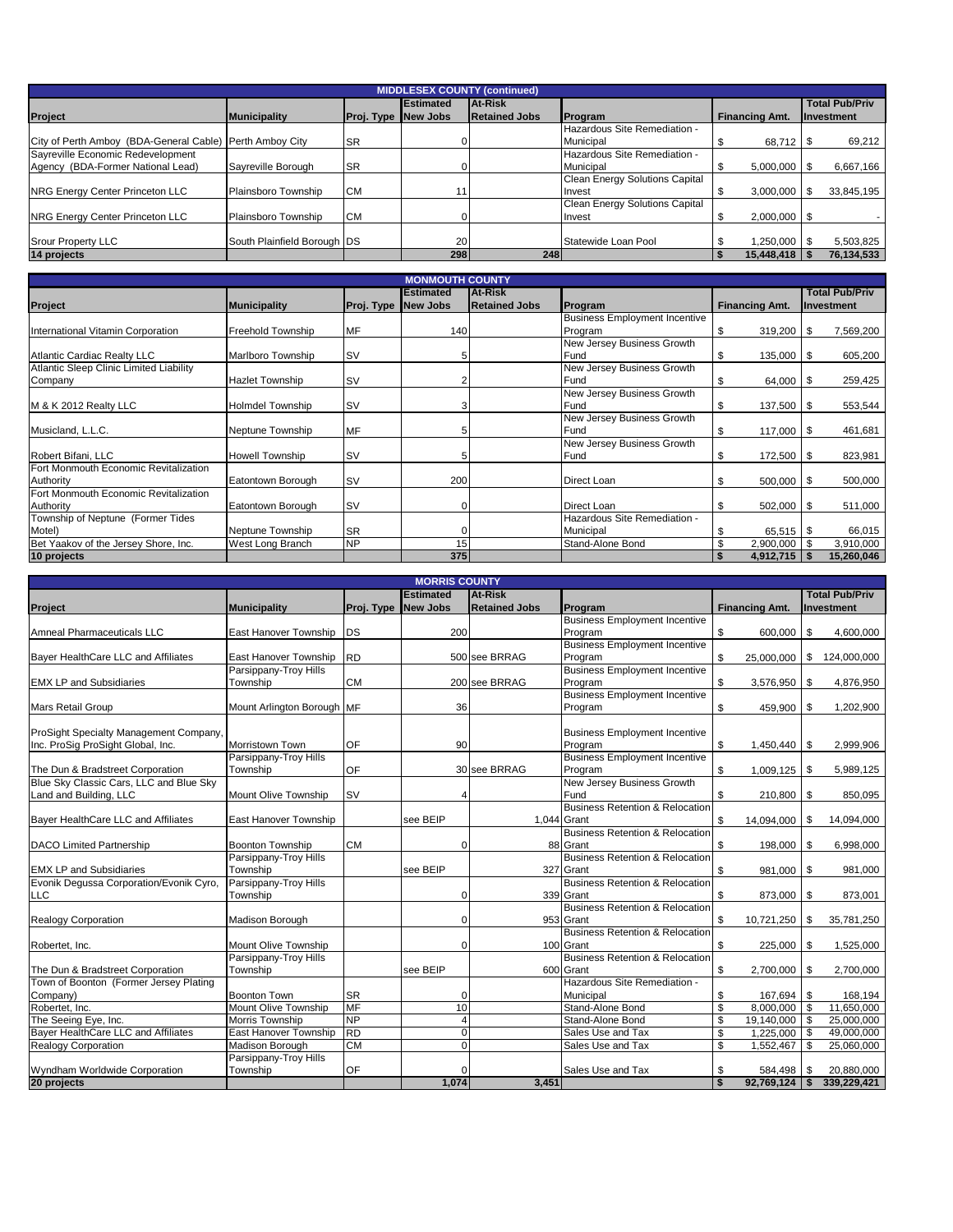| <b>MIDDLESEX COUNTY (continued)</b>                      |                             |            |                  |                      |                                       |                       |                       |  |  |
|----------------------------------------------------------|-----------------------------|------------|------------------|----------------------|---------------------------------------|-----------------------|-----------------------|--|--|
|                                                          |                             |            | <b>Estimated</b> | <b>At-Risk</b>       |                                       |                       | <b>Total Pub/Priv</b> |  |  |
| <b>Project</b>                                           | <b>Municipality</b>         | Proj. Type | <b>New Jobs</b>  | <b>Retained Jobs</b> | Program                               | <b>Financing Amt.</b> | <b>Investment</b>     |  |  |
|                                                          |                             |            |                  |                      | Hazardous Site Remediation -          |                       |                       |  |  |
| City of Perth Amboy (BDA-General Cable) Perth Amboy City |                             | <b>SR</b>  |                  |                      | Municipal                             |                       | 69,212                |  |  |
| Sayreville Economic Redevelopment                        |                             |            |                  |                      | Hazardous Site Remediation -          |                       |                       |  |  |
| Agency (BDA-Former National Lead)                        | Savreville Borough          | <b>SR</b>  |                  |                      | Municipal                             | $5.000.000$ S         | 6,667,166             |  |  |
|                                                          |                             |            |                  |                      | <b>Clean Energy Solutions Capital</b> |                       |                       |  |  |
| NRG Energy Center Princeton LLC                          | Plainsboro Township         | <b>CM</b>  |                  |                      | Invest                                | 3,000,000             | 33,845,195            |  |  |
|                                                          |                             |            |                  |                      | <b>Clean Energy Solutions Capital</b> |                       |                       |  |  |
| NRG Energy Center Princeton LLC                          | Plainsboro Township         | <b>CM</b>  |                  |                      | Invest                                | $2,000,000$ \$        |                       |  |  |
|                                                          |                             |            |                  |                      |                                       |                       |                       |  |  |
| <b>Srour Property LLC</b>                                | South Plainfield Borough DS |            | <b>20</b>        |                      | Statewide Loan Pool                   | 1,250,000 \$          | 5,503,825             |  |  |
| 14 projects                                              |                             |            | 298              | 248                  |                                       | 15.448.418            | 76,134,533            |  |  |

|                                                |                         |            | <b>MONMOUTH COUNTY</b> |                      |                                      |                       |                       |
|------------------------------------------------|-------------------------|------------|------------------------|----------------------|--------------------------------------|-----------------------|-----------------------|
|                                                |                         |            | <b>Estimated</b>       | <b>At-Risk</b>       |                                      |                       | <b>Total Pub/Priv</b> |
| Project                                        | <b>Municipality</b>     | Proj. Type | <b>New Jobs</b>        | <b>Retained Jobs</b> | Program                              | <b>Financing Amt.</b> | Investment            |
|                                                |                         |            |                        |                      | <b>Business Employment Incentive</b> |                       |                       |
| International Vitamin Corporation              | Freehold Township       | MF         | 140                    |                      | Program                              | \$<br>319,200         | 1S<br>7,569,200       |
|                                                |                         |            |                        |                      | New Jersey Business Growth           |                       |                       |
| <b>Atlantic Cardiac Realty LLC</b>             | Marlboro Township       | <b>SV</b>  | 51                     |                      | Fund                                 | \$<br>135,000         | 605,200<br>l \$       |
| <b>Atlantic Sleep Clinic Limited Liability</b> |                         |            |                        |                      | New Jersey Business Growth           |                       |                       |
| Company                                        | <b>Hazlet Township</b>  | <b>SV</b>  |                        |                      | Fund                                 | 64,000 \$<br>\$       | 259,425               |
|                                                |                         |            |                        |                      | New Jersey Business Growth           |                       |                       |
| M & K 2012 Realty LLC                          | <b>Holmdel Township</b> | <b>SV</b>  | 3                      |                      | Fund                                 | \$<br>137,500         | 553,544<br>l \$       |
|                                                |                         |            |                        |                      | New Jersey Business Growth           |                       |                       |
| Musicland, L.L.C.                              | Neptune Township        | MF         | 5                      |                      | Fund                                 | \$<br>$117,000$ \ \$  | 461,681               |
|                                                |                         |            |                        |                      | New Jersey Business Growth           |                       |                       |
| Robert Bifani, LLC                             | <b>Howell Township</b>  | <b>SV</b>  | 51                     |                      | Fund                                 | \$<br>172,500         | 823,981<br>l S        |
| Fort Monmouth Economic Revitalization          |                         |            |                        |                      |                                      |                       |                       |
| Authority                                      | Eatontown Borough       | <b>SV</b>  | 200                    |                      | Direct Loan                          | \$<br>500,000         | 500,000<br>l \$       |
| Fort Monmouth Economic Revitalization          |                         |            |                        |                      |                                      |                       |                       |
| Authority                                      | Eatontown Borough       | <b>SV</b>  | $\Omega$               |                      | Direct Loan                          | \$<br>502,000 \$      | 511,000               |
| Township of Neptune (Former Tides              |                         |            |                        |                      | Hazardous Site Remediation -         |                       |                       |
| Motel)                                         | Neptune Township        | <b>SR</b>  | $\Omega$               |                      | Municipal                            | \$<br>$65,515$ \\$    | 66,015                |
| Bet Yaakov of the Jersey Shore, Inc.           | West Long Branch        | <b>NP</b>  | 15                     |                      | Stand-Alone Bond                     | \$<br>2,900,000       | 3,910,000             |
| 10 projects                                    |                         |            | 375                    |                      |                                      | 4,912,715<br>S        | 15,260,046            |

|                                         | <b>MORRIS COUNTY</b>        |                     |                  |                      |                                            |    |                       |      |                       |
|-----------------------------------------|-----------------------------|---------------------|------------------|----------------------|--------------------------------------------|----|-----------------------|------|-----------------------|
|                                         |                             |                     | <b>Estimated</b> | At-Risk              |                                            |    |                       |      | <b>Total Pub/Priv</b> |
| Project                                 | <b>Municipality</b>         | Proj. Type New Jobs |                  | <b>Retained Jobs</b> | Program                                    |    | <b>Financing Amt.</b> |      | Investment            |
|                                         |                             |                     |                  |                      | <b>Business Employment Incentive</b>       |    |                       |      |                       |
| Amneal Pharmaceuticals LLC              | East Hanover Township       | <b>DS</b>           | 200              |                      | Program                                    | \$ | 600,000               | \$   | 4,600,000             |
|                                         |                             |                     |                  |                      | <b>Business Employment Incentive</b>       |    |                       |      |                       |
| Bayer HealthCare LLC and Affiliates     | East Hanover Township       | <b>RD</b>           |                  | 500 see BRRAG        | Program                                    | \$ | 25,000,000            | \$   | 124,000,000           |
|                                         | Parsippany-Troy Hills       |                     |                  |                      | <b>Business Employment Incentive</b>       |    |                       |      |                       |
| <b>EMX LP and Subsidiaries</b>          | Township                    | <b>CM</b>           |                  | 200 see BRRAG        | Program                                    | \$ | 3,576,950             | - \$ | 4,876,950             |
|                                         |                             |                     |                  |                      | <b>Business Employment Incentive</b>       |    |                       |      |                       |
| <b>Mars Retail Group</b>                | Mount Arlington Borough MF  |                     | 36               |                      | Program                                    | \$ | 459,900               | l S  | 1,202,900             |
|                                         |                             |                     |                  |                      |                                            |    |                       |      |                       |
| ProSight Specialty Management Company,  |                             |                     |                  |                      | <b>Business Employment Incentive</b>       |    |                       |      |                       |
| Inc. ProSig ProSight Global, Inc.       | Morristown Town             | OF                  | 90               |                      | Program                                    | \$ | $1,450,440$ \\$       |      | 2,999,906             |
|                                         | Parsippany-Troy Hills       |                     |                  |                      | <b>Business Employment Incentive</b>       |    |                       |      |                       |
| The Dun & Bradstreet Corporation        | Township                    | OF                  |                  | 30 see BRRAG         | Program                                    | \$ | 1,009,125             | l Si | 5,989,125             |
| Blue Sky Classic Cars, LLC and Blue Sky |                             |                     |                  |                      | New Jersey Business Growth                 |    |                       |      |                       |
| Land and Building, LLC                  | <b>Mount Olive Township</b> | <b>SV</b>           |                  |                      | Fund                                       | \$ | 210,800               | - \$ | 850,095               |
|                                         |                             |                     |                  |                      | <b>Business Retention &amp; Relocation</b> |    |                       |      |                       |
| Bayer HealthCare LLC and Affiliates     | East Hanover Township       |                     | see BEIP         |                      | 1.044 Grant                                | \$ | 14,094,000            | \$   | 14,094,000            |
|                                         |                             |                     |                  |                      | <b>Business Retention &amp; Relocation</b> |    |                       |      |                       |
| <b>DACO Limited Partnership</b>         | <b>Boonton Township</b>     | <b>CM</b>           | $\Omega$         |                      | 88 Grant                                   | \$ | 198,000               | l \$ | 6,998,000             |
|                                         | Parsippany-Troy Hills       |                     |                  |                      | <b>Business Retention &amp; Relocation</b> |    |                       |      |                       |
| <b>EMX LP and Subsidiaries</b>          | Township                    |                     | see BEIP         |                      | 327 Grant                                  | \$ | 981,000               | l \$ | 981,000               |
| Evonik Degussa Corporation/Evonik Cyro, | Parsippany-Troy Hills       |                     |                  |                      | <b>Business Retention &amp; Relocation</b> |    |                       |      |                       |
| <b>LLC</b>                              | Township                    |                     | O                |                      | 339 Grant                                  | \$ | 873,000               | \$   | 873,001               |
|                                         |                             |                     |                  |                      | <b>Business Retention &amp; Relocation</b> |    |                       |      |                       |
| <b>Realogy Corporation</b>              | Madison Borough             |                     | $\Omega$         |                      | 953 Grant                                  | \$ | 10,721,250            | -S   | 35,781,250            |
|                                         |                             |                     |                  |                      | <b>Business Retention &amp; Relocation</b> |    |                       |      |                       |
| Robertet, Inc.                          | Mount Olive Township        |                     | $\Omega$         |                      | 100 Grant                                  | \$ | 225,000               | l \$ | 1,525,000             |
|                                         | Parsippany-Troy Hills       |                     |                  |                      | Business Retention & Relocation            |    |                       |      |                       |
| The Dun & Bradstreet Corporation        | Township                    |                     | see BEIP         |                      | 600 Grant                                  | \$ | 2,700,000             | - \$ | 2,700,000             |
| Town of Boonton (Former Jersey Plating  |                             |                     |                  |                      | Hazardous Site Remediation -               |    |                       |      |                       |
| Company)                                | <b>Boonton Town</b>         | <b>SR</b>           |                  |                      | Municipal                                  | \$ | 167,694               | l Si | 168,194               |
| Robertet, Inc.                          | Mount Olive Township        | <b>MF</b>           | 10               |                      | Stand-Alone Bond                           | \$ | 8,000,000 \$          |      | 11,650,000            |
| The Seeing Eye, Inc.                    | <b>Morris Township</b>      | <b>NP</b>           | Δ                |                      | Stand-Alone Bond                           | \$ | 19,140,000            | l \$ | 25,000,000            |
| Bayer HealthCare LLC and Affiliates     | East Hanover Township       | RD                  | $\Omega$         |                      | Sales Use and Tax                          | \$ | 1.225.000             | l \$ | 49.000.000            |
| <b>Realogy Corporation</b>              | Madison Borough             | <b>CM</b>           | $\Omega$         |                      | Sales Use and Tax                          | s, | 1,552,467             | - \$ | 25,060,000            |
|                                         | Parsippany-Troy Hills       |                     |                  |                      |                                            |    |                       |      |                       |
| Wyndham Worldwide Corporation           | Township                    | OF                  |                  |                      | Sales Use and Tax                          | \$ | 584,498               | \$   | 20,880,000            |
| 20 projects                             |                             |                     | 1.074            | 3.451                |                                            | \$ | 92.769.124            |      | 339.229.421           |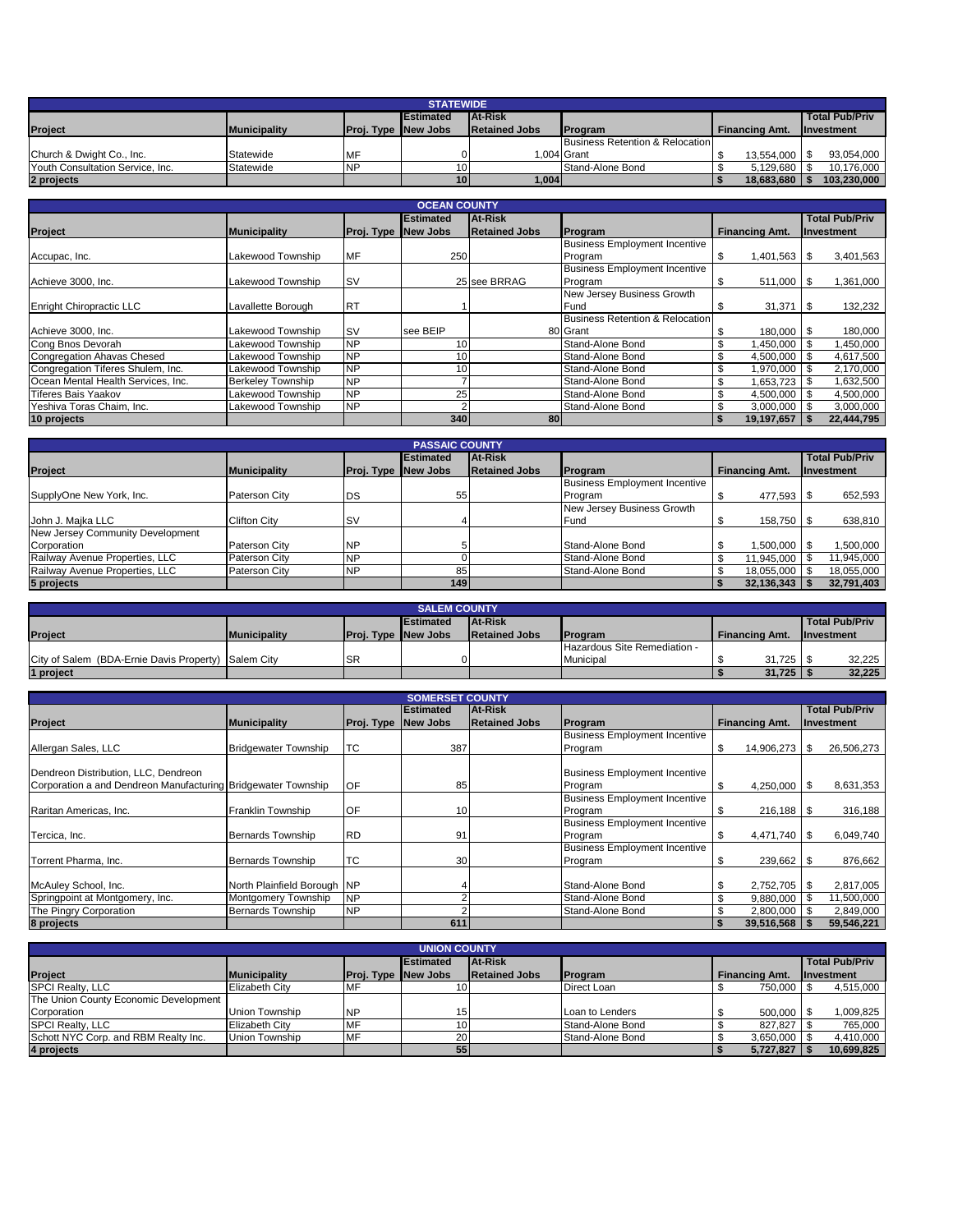| <b>STATEWIDE</b>                 |                     |                            |                   |                      |                                 |                       |                   |  |  |
|----------------------------------|---------------------|----------------------------|-------------------|----------------------|---------------------------------|-----------------------|-------------------|--|--|
|                                  |                     |                            | <b>IEstimated</b> | <b>At-Risk</b>       |                                 |                       | Total Pub/Priv    |  |  |
| <b>IProject</b>                  | <b>Municipality</b> | <b>Proj. Type New Jobs</b> |                   | <b>Retained Jobs</b> | <b>IProgram</b>                 | <b>Financing Amt.</b> | <b>Investment</b> |  |  |
|                                  |                     |                            |                   |                      | Business Retention & Relocation |                       |                   |  |  |
| Church & Dwight Co., Inc.        | Statewide           | MF                         |                   |                      | 1.004 Grant                     | 13.554.000   \$       | 93.054.000        |  |  |
| Youth Consultation Service, Inc. | Statewide           | <b>NP</b>                  |                   |                      | Stand-Alone Bond                | 5.129.680             | 10.176.000        |  |  |
| 2 projects                       |                     |                            | 10 <sup>1</sup>   | 1,004                |                                 | 18.683.680            | 103.230.000       |  |  |

|                                    | <b>OCEAN COUNTY</b>      |            |                  |                      |                                            |                           |                       |  |  |  |
|------------------------------------|--------------------------|------------|------------------|----------------------|--------------------------------------------|---------------------------|-----------------------|--|--|--|
|                                    |                          |            | <b>Estimated</b> | At-Risk              |                                            |                           | <b>Total Pub/Priv</b> |  |  |  |
| Project                            | <b>Municipality</b>      | Proj. Type | <b>New Jobs</b>  | <b>Retained Jobs</b> | Program                                    | <b>Financing Amt.</b>     | <b>Investment</b>     |  |  |  |
|                                    |                          |            |                  |                      | <b>Business Employment Incentive</b>       |                           |                       |  |  |  |
| Accupac, Inc.                      | Lakewood Township        | MF         | 250              |                      | Program                                    | ъ                         | 3,401,563             |  |  |  |
|                                    |                          |            |                  |                      | <b>Business Employment Incentive</b>       |                           |                       |  |  |  |
| Achieve 3000, Inc.                 | Lakewood Township        | <b>ISV</b> |                  | 25 see BRRAG         | Program                                    | $511,000$ $\sqrt{5}$<br>ъ | 1,361,000             |  |  |  |
|                                    |                          |            |                  |                      | New Jersey Business Growth                 |                           |                       |  |  |  |
| <b>Enright Chiropractic LLC</b>    | Lavallette Borough       | <b>IRT</b> |                  |                      | Fund                                       | 31,371                    | 132,232<br><b>IS</b>  |  |  |  |
|                                    |                          |            |                  |                      | <b>Business Retention &amp; Relocation</b> |                           |                       |  |  |  |
| Achieve 3000, Inc.                 | Lakewood Township        | <b>ISV</b> | see BEIP         |                      | 80 Grant                                   | 180,000 \$<br>ъ           | 180,000               |  |  |  |
| Cong Bnos Devorah                  | Lakewood Township        | <b>NP</b>  | 10               |                      | Stand-Alone Bond                           | \$<br>1.450.000 S         | 1,450,000             |  |  |  |
| Congregation Ahavas Chesed         | Lakewood Township        | <b>NP</b>  | 10               |                      | Stand-Alone Bond                           | \$<br>4,500,000           | 4,617,500<br>- \$     |  |  |  |
| Congregation Tiferes Shulem, Inc.  | Lakewood Township        | <b>NP</b>  | 10               |                      | Stand-Alone Bond                           | \$<br>1,970,000 \$        | 2,170,000             |  |  |  |
| Ocean Mental Health Services, Inc. | <b>Berkeley Township</b> | <b>NP</b>  |                  |                      | Stand-Alone Bond                           | \$<br>1.653.723           | 1,632,500<br>\$       |  |  |  |
| <b>Tiferes Bais Yaakov</b>         | Lakewood Township        | <b>NP</b>  | 25               |                      | Stand-Alone Bond                           | \$<br>$4,500,000$ \ \$    | 4,500,000             |  |  |  |
| Yeshiva Toras Chaim, Inc.          | Lakewood Township        | <b>NP</b>  |                  |                      | Stand-Alone Bond                           | \$<br>$3,000,000$ \ \$    | 3,000,000             |  |  |  |
| 10 projects                        |                          |            | 340              | 80                   |                                            | $19,197,657$ \ \$<br>- 56 | 22,444,795            |  |  |  |

| <b>PASSAIC COUNTY</b>            |                     |            |                  |                      |                                      |                       |                       |  |  |
|----------------------------------|---------------------|------------|------------------|----------------------|--------------------------------------|-----------------------|-----------------------|--|--|
|                                  |                     |            | <b>Estimated</b> | At-Risk              |                                      |                       | <b>Total Pub/Priv</b> |  |  |
| <b>Project</b>                   | <b>Municipality</b> | Proj. Type | New Jobs         | <b>Retained Jobs</b> | Program                              | <b>Financing Amt.</b> | <b>Investment</b>     |  |  |
|                                  |                     |            |                  |                      | <b>Business Employment Incentive</b> |                       |                       |  |  |
| SupplyOne New York, Inc.         | Paterson City       | <b>DS</b>  | 55               |                      | Program                              | 477.593 \$            | 652,593               |  |  |
|                                  |                     |            |                  |                      | New Jersey Business Growth           |                       |                       |  |  |
| John J. Majka LLC                | <b>Clifton City</b> | <b>SV</b>  |                  |                      | Fund                                 | 158.750 \$            | 638,810               |  |  |
| New Jersey Community Development |                     |            |                  |                      |                                      |                       |                       |  |  |
| Corporation                      | Paterson City       | <b>NP</b>  |                  |                      | Stand-Alone Bond                     | 1,500,000 \$          | 1,500,000             |  |  |
| Railway Avenue Properties, LLC   | Paterson City       | NΡ         |                  |                      | Stand-Alone Bond                     | 11,945,000            | 11,945,000            |  |  |
| Railway Avenue Properties, LLC   | Paterson City       | <b>NP</b>  | 85               |                      | Stand-Alone Bond                     | 18,055,000            | 18,055,000            |  |  |
| 5 projects                       |                     |            | 149              |                      |                                      | $32,136,343$ \        | 32,791,403            |  |  |

| <b>SALEM COUNTY</b>                                 |                     |                            |                  |                      |                              |                        |  |                       |        |
|-----------------------------------------------------|---------------------|----------------------------|------------------|----------------------|------------------------------|------------------------|--|-----------------------|--------|
|                                                     |                     |                            | <b>Estimated</b> | <b>At-Risk</b>       |                              |                        |  | <b>Total Pub/Priv</b> |        |
| Project                                             | <b>Municipality</b> | <b>Proj. Type New Jobs</b> |                  | <b>Retained Jobs</b> | <b>IProgram</b>              | <b>Financing Amt.</b>  |  | <b>Ilnvestment</b>    |        |
|                                                     |                     |                            |                  |                      | Hazardous Site Remediation - |                        |  |                       |        |
| City of Salem (BDA-Ernie Davis Property) Salem City |                     | <b>SF</b>                  |                  |                      | Municipal                    | $31.725$ $\frac{1}{3}$ |  |                       | 32,225 |
| 1 project                                           |                     |                            |                  |                      |                              | 31,725                 |  |                       | 32.225 |

|                                                                                                       | <b>SOMERSET COUNTY</b>      |            |                  |                      |                                                 |                       |            |                       |  |
|-------------------------------------------------------------------------------------------------------|-----------------------------|------------|------------------|----------------------|-------------------------------------------------|-----------------------|------------|-----------------------|--|
|                                                                                                       |                             |            | <b>Estimated</b> | At-Risk              |                                                 |                       |            | <b>Total Pub/Priv</b> |  |
| Project                                                                                               | Municipality                | Proj. Type | <b>New Jobs</b>  | <b>Retained Jobs</b> | Program                                         | <b>Financing Amt.</b> |            | <b>Investment</b>     |  |
|                                                                                                       |                             |            |                  |                      | <b>Business Employment Incentive</b>            |                       |            |                       |  |
| Allergan Sales, LLC                                                                                   | <b>Bridgewater Township</b> | TC.        | 387              |                      | Program                                         | 14,906,273<br>\$      |            | 26,506,273            |  |
| Dendreon Distribution, LLC, Dendreon<br>Corporation a and Dendreon Manufacturing Bridgewater Township |                             | OF         | 85               |                      | <b>Business Employment Incentive</b><br>Program | 4,250,000<br>\$.      | $\sqrt{3}$ | 8,631,353             |  |
|                                                                                                       |                             |            |                  |                      | <b>Business Employment Incentive</b>            |                       |            |                       |  |
| Raritan Americas, Inc.                                                                                | Franklin Township           | OF         | 10 <sub>1</sub>  |                      | Program                                         | 216,188 \$            |            | 316,188               |  |
|                                                                                                       |                             |            |                  |                      | <b>Business Employment Incentive</b>            |                       |            |                       |  |
| Tercica, Inc.                                                                                         | Bernards Township           | <b>RD</b>  | 91               |                      | Program                                         | 4.471.740 \$<br>\$    |            | 6,049,740             |  |
| Torrent Pharma, Inc.                                                                                  | Bernards Township           | 'TC        | 30               |                      | <b>Business Employment Incentive</b><br>Program | $239,662$ \$<br>ъ     |            | 876,662               |  |
| McAuley School, Inc.                                                                                  | North Plainfield Borough NP |            |                  |                      | Stand-Alone Bond                                | 2,752,705 \$<br>S     |            | 2,817,005             |  |
| Springpoint at Montgomery, Inc.                                                                       | Montgomery Township         | <b>NP</b>  |                  |                      | Stand-Alone Bond                                | \$<br>9,880,000       |            | 11,500,000            |  |
| The Pingry Corporation                                                                                | Bernards Township           | <b>NP</b>  |                  |                      | Stand-Alone Bond                                | \$                    |            | 2,849,000             |  |
| 8 projects                                                                                            |                             |            | 611              |                      |                                                 | 39,516,568            |            | 59,546,221            |  |

| <b>UNION COUNTY</b>                   |                     |                            |                   |                      |                  |                       |                       |  |  |
|---------------------------------------|---------------------|----------------------------|-------------------|----------------------|------------------|-----------------------|-----------------------|--|--|
|                                       |                     |                            | <b>IEstimated</b> | <b>At-Risk</b>       |                  |                       | <b>Total Pub/Priv</b> |  |  |
| Project                               | <b>Municipality</b> | <b>Proj. Type New Jobs</b> |                   | <b>Retained Jobs</b> | Program          | <b>Financing Amt.</b> | <b>Investment</b>     |  |  |
| <b>SPCI Realty, LLC</b>               | Elizabeth City      | MF                         |                   |                      | Direct Loan      | 750.000               | 4,515,000             |  |  |
| The Union County Economic Development |                     |                            |                   |                      |                  |                       |                       |  |  |
| Corporation                           | Union Township      | <b>NP</b>                  | 15 <sup>1</sup>   |                      | Loan to Lenders  | 500.000               | ,009,825              |  |  |
| <b>SPCI Realty, LLC</b>               | Elizabeth City      | MF                         | 10 I              |                      | Stand-Alone Bond | 827.827               | 765,000               |  |  |
| Schott NYC Corp. and RBM Realty Inc.  | Union Township      | MF                         | <b>20</b>         |                      | Stand-Alone Bond | 3,650,000             | 4,410,000             |  |  |
| 4 projects                            |                     |                            | 55                |                      |                  | 5,727,827             | 10,699,825            |  |  |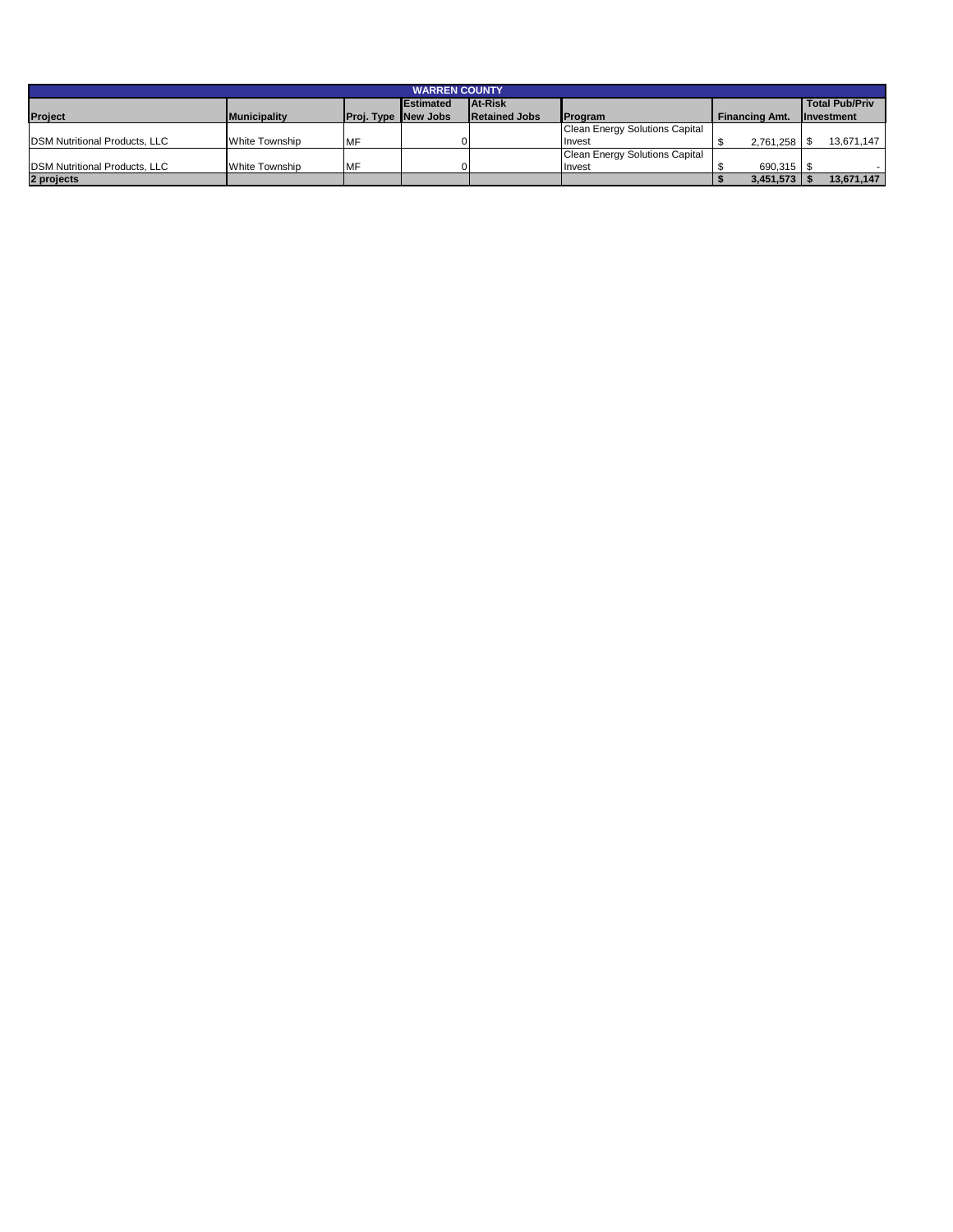| <b>WARREN COUNTY</b>                  |                     |                            |                   |                      |                                       |                       |                       |  |  |
|---------------------------------------|---------------------|----------------------------|-------------------|----------------------|---------------------------------------|-----------------------|-----------------------|--|--|
|                                       |                     |                            | <b>IEstimated</b> | <b>At-Risk</b>       |                                       |                       | <b>Total Pub/Priv</b> |  |  |
| <b>Project</b>                        | <b>Municipality</b> | <b>Proj. Type New Jobs</b> |                   | <b>Retained Jobs</b> | <b>IProgram</b>                       | <b>Financing Amt.</b> | <b>Investment</b>     |  |  |
|                                       |                     |                            |                   |                      | <b>Clean Energy Solutions Capital</b> |                       |                       |  |  |
| <b>IDSM Nutritional Products, LLC</b> | White Township      | MF                         |                   |                      | Invest                                | 2.761.258             | 13.671.147            |  |  |
|                                       |                     |                            |                   |                      | Clean Energy Solutions Capital        |                       |                       |  |  |
| <b>IDSM Nutritional Products, LLC</b> | White Township      | <b>IMF</b>                 |                   |                      | Invest                                | 690.315               |                       |  |  |
| 2 projects                            |                     |                            |                   |                      |                                       | 3,451,573             | 13,671,147            |  |  |